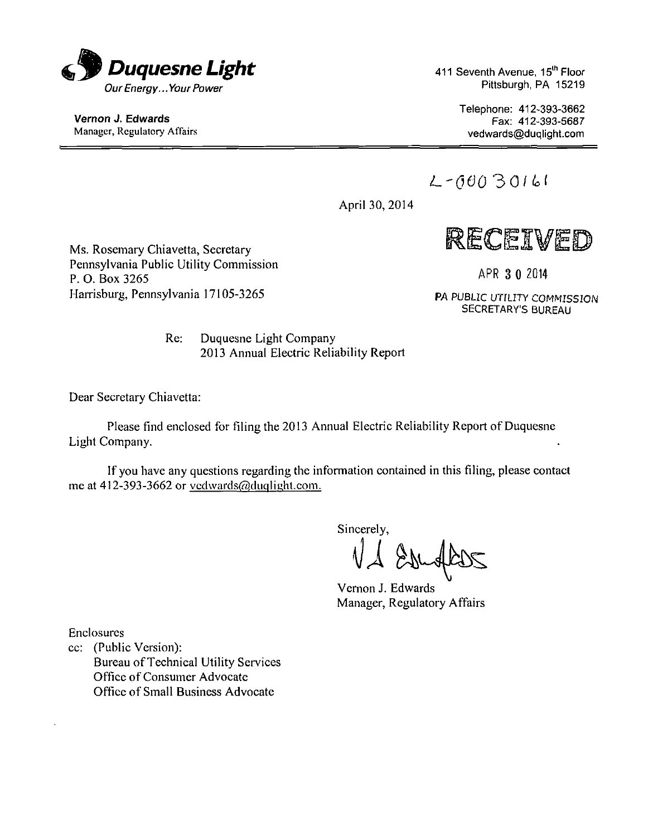

Vernon J. Edwards Manager, Regulatory Affairs 411 Seventh Avenue, 15<sup>th</sup> Floor Pittsburgh, PA 15219

> Telephone: 412-393-3662 Fax: 412-393-5687 vedwards@duqlight.com

*L-060 30/id* 

April 30, 2014



Ms. Rosemary Chiavetta, Secretary Pennsylvania Public Utility Commission P. O. Box 3265 Harrisburg, Pennsylvania 17105-3265

APR 3 0 2014

PA PUBLIC UTILITY COMMISSION SECRETARY'S BUREAU

Re: Duquesne Light Company 2013 Annual Electric Reliability Report

Dear Secretary Chiavetta:

Please find enclosed for filing the 2013 Annual Electric Reliability Report of Duquesne Light Company.

If you have any questions regarding the information contained in this filing, please contact me at 412-393-3662 or vedwards@duqlight.com.

Sincerely,

Vernon J. Edwards Manager, Regulatory Affairs

Enclosures

cc: (Public Version): Bureau of Technical Utility Services Office of Consumer Advocate Office of Small Business Advocate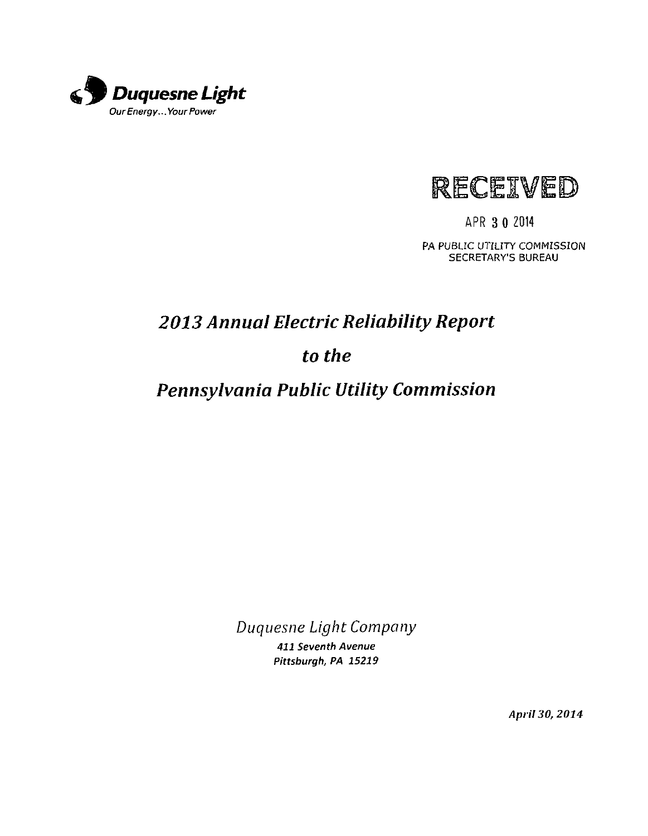

*9 'W* 

APR 3 0 Z014

PA PUBLIC UTILITY COMMISSION SECRETARY'S BUREAU

# *2013 Annual Electric Reliability Report*

# *to the*

# *Pennsylvania Public Utility Commission*

Duquesne Light Company

411 Seventh Avenue Pittsburgh, PA 15219

April 30, 2014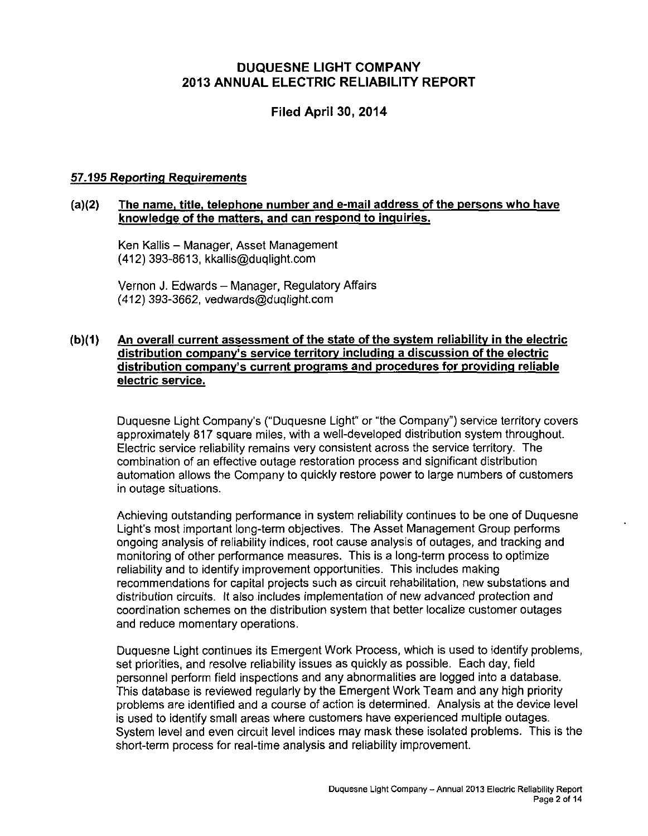#### **DUQUESNE LIGHT COMPANY 2013 ANNUAL ELECTRIC RELIABILITY REPORT**

#### **Filed April 30, 2014**

#### **57.195 Reporting Requirements**

#### **(a)(2) The name, title, telephone number and e-mail address ofthe persons who have knowledge ofthe matters, and can respond to inquiries.**

Ken Kallis - Manager, Asset Management (412) 393-8613, kkallis@duqlight.com

Vernon J. Edwards - Manager, Regulatory Affairs (412) 393-3662, vedwards@duqlight.com

#### (b)(1) An overall current assessment of the state of the system reliability in the electric **distribution companv's service territory including a discussion ofthe electric distribution companv's current programs and procedures for providing reliable electric service.**

Duquesne Light Company's ("Duquesne Light" or "the Company") service territory covers approximately 817 square miles, with a well-developed distribution system throughout. Electric service reliability remains very consistent across the service territory. The combination of an effective outage restoration process and significant distribution automation allows the Company to quickly restore power to large numbers of customers in outage situations.

Achieving outstanding performance in system reliability continues to be one of Duquesne Light's most important long-term objectives. The Asset Management Group performs ongoing analysis of reliability indices, root cause analysis of outages, and tracking and monitoring of other performance measures. This is a long-term process to optimize reliability and to identify improvement opportunities. This includes making recommendations for capital projects such as circuit rehabilitation, new substations and distribution circuits. It also includes implementation of new advanced protection and coordination schemes on the distribution system that better localize customer outages and reduce momentary operations.

Duquesne Light continues its Emergent Work Process, which is used to identify problems, set priorities, and resolve reliability issues as quickly as possible. Each day, field personnel perform field inspections and any abnormalities are logged into a database. This database is reviewed regularly by the Emergent Work Team and any high priority problems are identified and a course of action is determined. Analysis at the device level is used to identify small areas where customers have experienced multiple outages. System level and even circuit level indices may mask these isolated problems. This is the short-term process for real-time analysis and reliability improvement.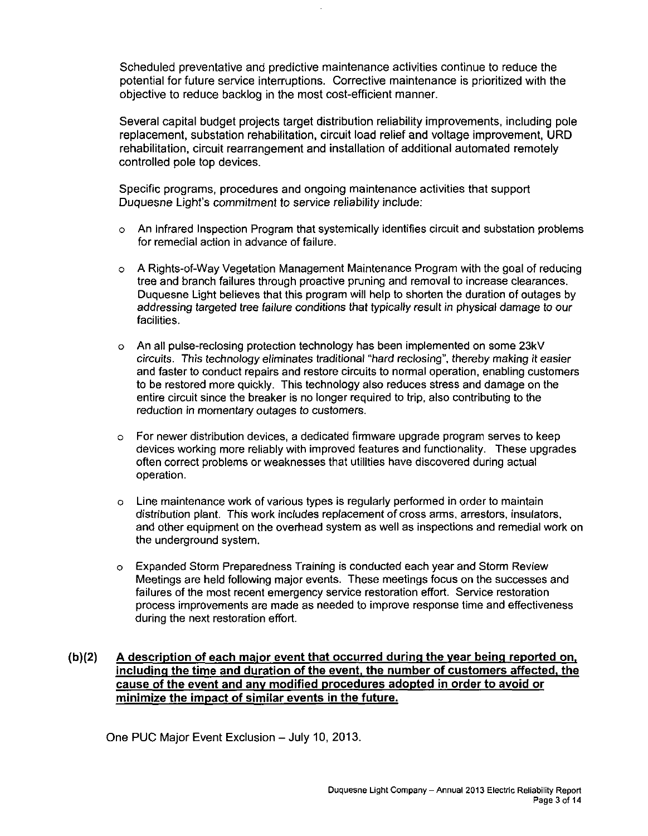Scheduled preventative and predictive maintenance activities continue to reduce the potential for future service interruptions. Corrective maintenance is prioritized with the objective to reduce backlog in the most cost-efficient manner.

Several capital budget projects target distribution reliability improvements, including pole replacement, substation rehabilitation, circuit load relief and voltage improvement, URD rehabilitation, circuit rearrangement and installation of additional automated remotely controlled pole top devices.

Specific programs, procedures and ongoing maintenance activities that support Duquesne Light's commitment to service reiiability include:

- o An Infrared Inspection Program that systemically identifies circuit and substation problems for remedial action in advance of failure.
- o A Rights-of-Way Vegetation Management Maintenance Program with the goal of reducing tree and branch failures through proactive pruning and removal to increase clearances. Duquesne Light believes that this program will help to shorten the duration of outages by addressing targeted tree failure conditions that typically result in physical damage to our facilities.
- o An all pulse-reclosing protection technology has been implemented on some 23kV circuits. This technology eliminates traditional "hard reclosing", thereby making it easier and faster to conduct repairs and restore circuits to normal operation, enabling customers to be restored more quickly. This technology also reduces stress and damage on the entire circuit since the breaker is no longer required to trip, also contributing to the reduction in momentary outages to customers.
- o For newer distribution devices, a dedicated firmware upgrade program serves to keep devices working more reliably with improved features and functionality. These upgrades often correct problems or weaknesses that utilities have discovered during actual operation.
- o Line maintenance work of various types is regularly performed in order to maintain distribution plant. This work includes replacement of cross arms, arrestors, insulators, and other equipment on the overhead system as well as inspections and remedial work on the underground system.
- o Expanded Storm Preparedness Training is conducted each year and Storm Review Meetings are held following major events. These meetings focus on the successes and failures of the most recent emergency service restoration effort. Service restoration process improvements are made as needed to improve response time and effectiveness during the next restoration effort.

#### **(b)(2) A description of each major event that occurred during the vear being reported on.**  including the time and duration of the event, the number of customers affected, the **cause of the event and any modified procedures adopted in order to avoid or minimize the impact of similar events in the future.**

One PUC Major Event Exclusion - July 10, 2013.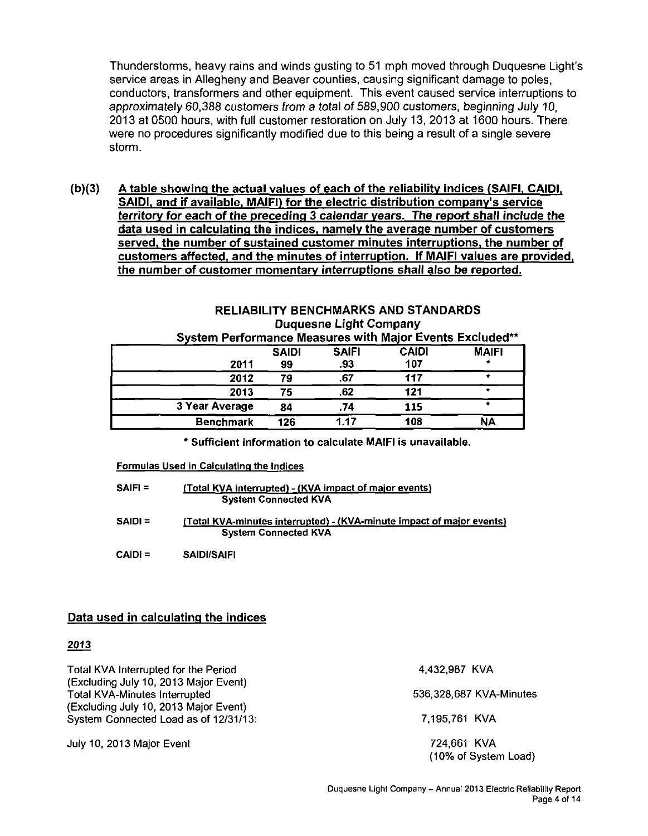Thunderstorms, heavy rains and winds gusting to 51 mph moved through Duquesne Light's service areas in Allegheny and Beaver counties, causing significant damage to poles, conductors, transformers and other equipment. This event caused service interruptions to approximately 60,388 customers from a total of 589,900 customers, beginning July 10, 2013 at 0500 hours, with full customer restoration on July 13, 2013 at 1600 hours. There were no procedures significantly modified due to this being a result of a single severe storm.

**(b)(3) A table showing the actual values of each of the reliability indices (SAIFI, CAIDI. SAIDI. and if available. MAIFI) for the electric distribution companv's service territory for each of the preceding 3 calendar years. The report shall include the data used in calculating the indices, namely the average number of customers served, the number of sustained customer minutes interruptions, the number of customers affected, and the minutes of interruption. If MAIFI values are provided, the number of customer momentary interruptions shall also be reported.** 

| NLLIADILI I DLINJIIIIANNY AND YTANDANDY<br><b>Duquesne Light Company</b> |                                                          |              |              |              |  |  |  |  |  |  |
|--------------------------------------------------------------------------|----------------------------------------------------------|--------------|--------------|--------------|--|--|--|--|--|--|
|                                                                          | System Performance Measures with Major Events Excluded** |              |              |              |  |  |  |  |  |  |
|                                                                          | <b>SAIDI</b>                                             | <b>SAIFI</b> | <b>CAIDI</b> | <b>MAIFI</b> |  |  |  |  |  |  |
| 2011                                                                     | 99                                                       | .93          | 107          |              |  |  |  |  |  |  |
| 2012                                                                     | 79                                                       | .67          | 117          |              |  |  |  |  |  |  |
| 2013                                                                     | 75                                                       | .62          | 121          | ÷            |  |  |  |  |  |  |
| 3 Year Average                                                           | 84                                                       | .74          | 115          |              |  |  |  |  |  |  |
| <b>Benchmark</b>                                                         | 126                                                      | 1.17         | 108          | NΑ           |  |  |  |  |  |  |

# **RELIABILITY BENCHMARKS AND STANDARDS**

\* Sufficient information to calculate MAIFI is unavailable.

#### Formulas Used in Calculating the Indices

| <b>SAIFI =</b> | (Total KVA interrupted) - (KVA impact of major events)<br><b>System Connected KVA</b>                       |
|----------------|-------------------------------------------------------------------------------------------------------------|
| $SAIDI =$      | <u>(Total KVA-minutes interrupted) - (KVA-minute impact of major events)</u><br><b>System Connected KVA</b> |
| $CAID =$       | <b>SAIDI/SAIFI</b>                                                                                          |

#### **Data used in calculating the indices**

#### **2013**

Total KVA Interrupted for the Period (Excluding July 10, 2013 Major Event) Total KVA-Minutes Interrupted (Excluding July 10, 2013 Major Event) System Connected Load as of 12/31/13:

July 10, 2013 Major Event

4,432,987 KVA

536,328,687 KVA-Minutes

7.195,761 KVA

724,661 KVA (10% of System Load)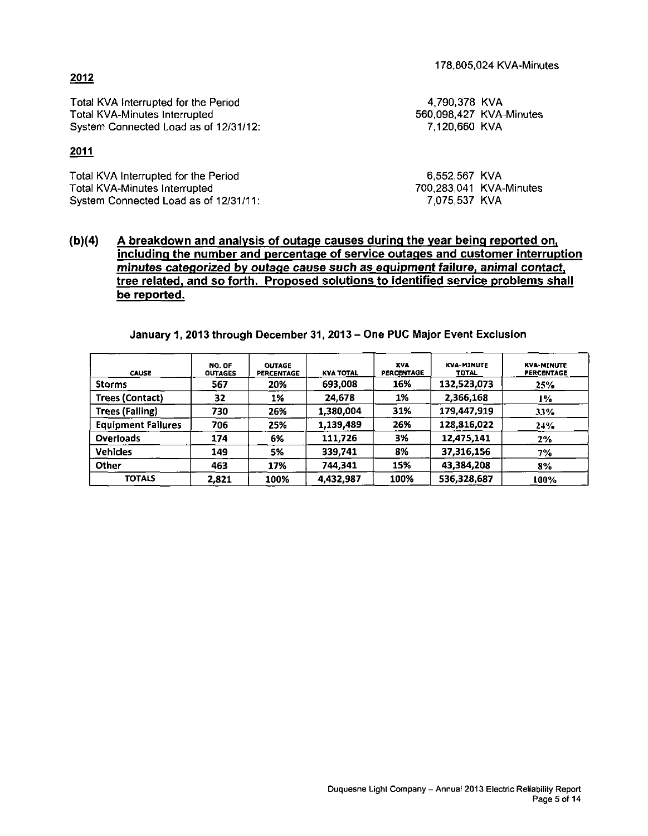**including the number and percentage of service outages and customer interruption** 

## **January 1, 2013 through December 31, 2013-One PUC Major Event Exclusion**

**(b)(4) A breakdown and analysis of outage causes during the vear being reported on.** 

| <b>CAUSE</b>              | NO. OF<br><b>OUTAGES</b> | <b>OUTAGE</b><br><b>PERCENTAGE</b> | <b>KVA TOTAL</b> | <b>KVA</b><br>PERCENTAGE | <b>KVA-MINUTE</b><br><b>TOTAL</b> | <b>KVA-MINUTE</b><br><b>PERCENTAGE</b> |
|---------------------------|--------------------------|------------------------------------|------------------|--------------------------|-----------------------------------|----------------------------------------|
| <b>Storms</b>             | 567                      | 20%                                | 693,008          | 16%                      | 132,523,073                       | 25%                                    |
| <b>Trees (Contact)</b>    | 32                       | 1%                                 | 24,678           | 1%                       | 2.366,168                         | 1%                                     |
| <b>Trees (Falling)</b>    | 730                      | 26%                                | 1.380.004        | 31%                      | 179,447,919                       | 33%                                    |
| <b>Equipment Failures</b> | 706                      | 25%                                | 1,139,489        | 26%                      | 128,816,022                       | 24%                                    |
| <b>Overloads</b>          | 174                      | 6%                                 | 111.726          | 3%                       | 12,475,141                        | 2%                                     |
| <b>Vehicles</b>           | 149                      | 5%                                 | 339,741          | 8%                       | 37,316,156                        | 7%                                     |
| Other                     | 463                      | 17%                                | 744,341          | 15%                      | 43,384,208                        | 8%                                     |
| <b>TOTALS</b>             | 2.821                    | 100%                               | 4.432.987        | 100%                     | 536,328,687                       | 100%                                   |

#### **minutes categorized by outage cause such as equipment failure, animal contact, tree related, and so forth. Proposed solutions to identified service problems shall**

Total KVA-Minutes Interrupted System Connected Load as of 12/31/12:

Total KVA Interrupted for the Period

### **2011**

**2012** 

Total KVA Interrupted for the Period Total KVA-Minutes Interrupted System Connected Load as of 12/31/11:

**be reported.** 

4,790,378 KVA 560,098,427 KVA-Minutes 7,120,660 KVA

6,552,567 KVA 700,283,041 KVA-Minutes 7,075,537 KVA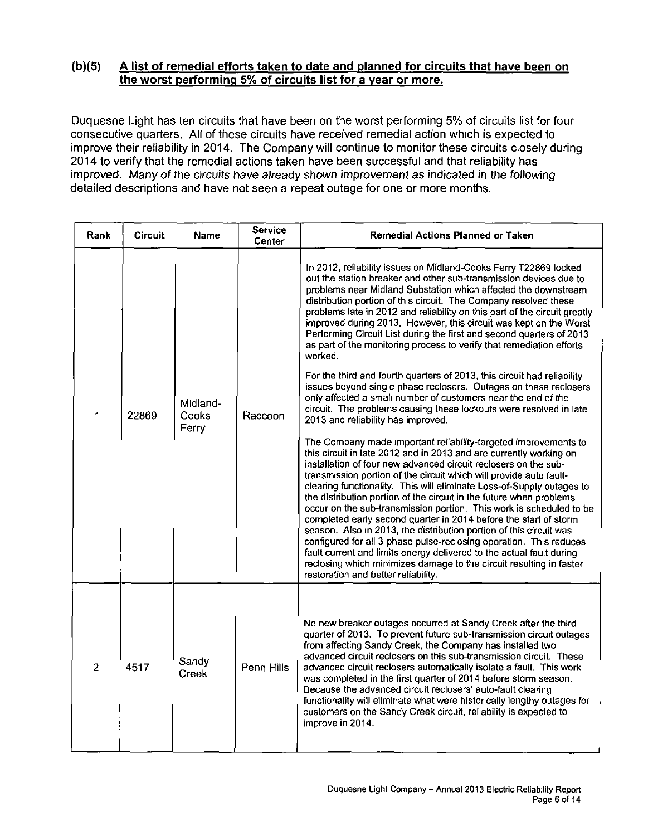#### **(b)(5) A list of remedial efforts taken to date and planned for circuits that have been on the worst performing 5% of circuits list for a vear or more.**

Duquesne Light has ten circuits that have been on the worst performing 5% of circuits list for four consecutive quarters. All of these circuits have received remedial action which is expected to improve their reliability in 2014. The Company will continue to monitor these circuits closely during 2014 to verify that the remedial actions taken have been successful and that reliability has improved. Many of the circuits have already shown improvement as indicated in the following detailed descriptions and have not seen a repeat outage for one or more months.

| Rank           | <b>Circuit</b> | <b>Name</b>                       | <b>Service</b><br><b>Center</b> | <b>Remedial Actions Planned or Taken</b>                                                                                                                                                                                                                                                                                                                                                                                                                                                                                                                                                                                                                                                                                                                                                                                                                                                                                                                                                                                                                                                                                                                                                                                                                                                                                                                                                                                                                                                                                                                                                                                                                                                                                                                                                                                            |
|----------------|----------------|-----------------------------------|---------------------------------|-------------------------------------------------------------------------------------------------------------------------------------------------------------------------------------------------------------------------------------------------------------------------------------------------------------------------------------------------------------------------------------------------------------------------------------------------------------------------------------------------------------------------------------------------------------------------------------------------------------------------------------------------------------------------------------------------------------------------------------------------------------------------------------------------------------------------------------------------------------------------------------------------------------------------------------------------------------------------------------------------------------------------------------------------------------------------------------------------------------------------------------------------------------------------------------------------------------------------------------------------------------------------------------------------------------------------------------------------------------------------------------------------------------------------------------------------------------------------------------------------------------------------------------------------------------------------------------------------------------------------------------------------------------------------------------------------------------------------------------------------------------------------------------------------------------------------------------|
| 1              | 22869          | Midland-<br><b>Cooks</b><br>Ferry | Raccoon                         | In 2012, reliability issues on Midland-Cooks Ferry T22869 locked<br>out the station breaker and other sub-transmission devices due to<br>problems near Midland Substation which affected the downstream<br>distribution portion of this circuit. The Company resolved these<br>problems late in 2012 and reliability on this part of the circuit greatly<br>improved during 2013. However, this circuit was kept on the Worst<br>Performing Circuit List during the first and second quarters of 2013<br>as part of the monitoring process to verify that remediation efforts<br>worked.<br>For the third and fourth quarters of 2013, this circuit had reliability<br>issues beyond single phase reclosers. Outages on these reclosers<br>only affected a small number of customers near the end of the<br>circuit. The problems causing these lockouts were resolved in late<br>2013 and reliability has improved.<br>The Company made important reliability-targeted improvements to<br>this circuit in late 2012 and in 2013 and are currently working on<br>installation of four new advanced circuit reclosers on the sub-<br>transmission portion of the circuit which will provide auto fault-<br>clearing functionality. This will eliminate Loss-of-Supply outages to<br>the distribution portion of the circuit in the future when problems<br>occur on the sub-transmission portion. This work is scheduled to be<br>completed early second quarter in 2014 before the start of storm<br>season. Also in 2013, the distribution portion of this circuit was<br>configured for all 3-phase pulse-reclosing operation. This reduces<br>fault current and limits energy delivered to the actual fault during<br>reclosing which minimizes damage to the circuit resulting in faster<br>restoration and better reliability. |
| $\overline{2}$ | 4517           | Sandy<br>Creek                    | Penn Hills                      | No new breaker outages occurred at Sandy Creek after the third<br>quarter of 2013. To prevent future sub-transmission circuit outages<br>from affecting Sandy Creek, the Company has installed two<br>advanced circuit reclosers on this sub-transmission circuit. These<br>advanced circuit reclosers automatically isolate a fault. This work<br>was completed in the first quarter of 2014 before storm season.<br>Because the advanced circuit reclosers' auto-fault clearing<br>functionality will eliminate what were historically lengthy outages for<br>customers on the Sandy Creek circuit, reliability is expected to<br>improve in 2014.                                                                                                                                                                                                                                                                                                                                                                                                                                                                                                                                                                                                                                                                                                                                                                                                                                                                                                                                                                                                                                                                                                                                                                                |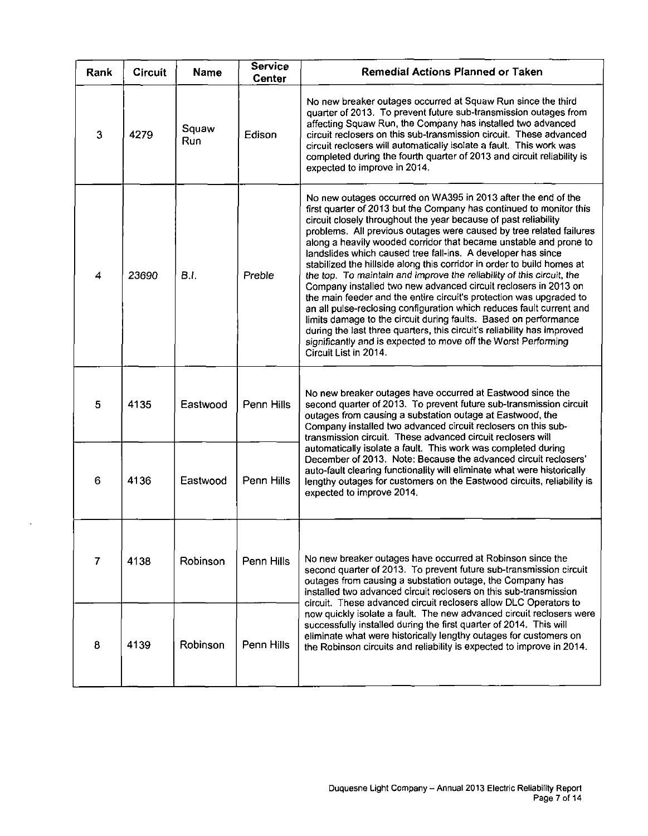| Rank                     | <b>Circuit</b> | <b>Name</b>  | <b>Service</b><br>Center | Remedial Actions Planned or Taken                                                                                                                                                                                                                                                                                                                                                                                                                                                                                                                                                                                                                                                                                                                                                                                                                                                                                                                                                                                                  |  |  |  |  |
|--------------------------|----------------|--------------|--------------------------|------------------------------------------------------------------------------------------------------------------------------------------------------------------------------------------------------------------------------------------------------------------------------------------------------------------------------------------------------------------------------------------------------------------------------------------------------------------------------------------------------------------------------------------------------------------------------------------------------------------------------------------------------------------------------------------------------------------------------------------------------------------------------------------------------------------------------------------------------------------------------------------------------------------------------------------------------------------------------------------------------------------------------------|--|--|--|--|
| $\mathbf{3}$             | 4279           | Squaw<br>Run | Edison                   | No new breaker outages occurred at Squaw Run since the third<br>quarter of 2013. To prevent future sub-transmission outages from<br>affecting Squaw Run, the Company has installed two advanced<br>circuit reclosers on this sub-transmission circuit. These advanced<br>circuit reclosers will automatically isolate a fault. This work was<br>completed during the fourth quarter of 2013 and circuit reliability is<br>expected to improve in 2014.                                                                                                                                                                                                                                                                                                                                                                                                                                                                                                                                                                             |  |  |  |  |
| $\overline{\mathcal{L}}$ | 23690          | B.L          | Preble                   | No new outages occurred on WA395 in 2013 after the end of the<br>first quarter of 2013 but the Company has continued to monitor this<br>circuit closely throughout the year because of past reliability<br>problems. All previous outages were caused by tree related failures<br>along a heavily wooded corridor that became unstable and prone to<br>landslides which caused tree fall-ins. A developer has since<br>stabilized the hillside along this corridor in order to build homes at<br>the top. To maintain and improve the reliability of this circuit, the<br>Company installed two new advanced circuit reclosers in 2013 on<br>the main feeder and the entire circuit's protection was upgraded to<br>an all pulse-reclosing configuration which reduces fault current and<br>limits damage to the circuit during faults. Based on performance<br>during the last three quarters, this circuit's reliability has improved<br>significantly and is expected to move off the Worst Performing<br>Circuit List in 2014. |  |  |  |  |
| 5                        | 4135           | Eastwood     | Penn Hills               | No new breaker outages have occurred at Eastwood since the<br>second quarter of 2013. To prevent future sub-transmission circuit<br>outages from causing a substation outage at Eastwood, the<br>Company installed two advanced circuit reclosers on this sub-<br>transmission circuit. These advanced circuit reclosers will                                                                                                                                                                                                                                                                                                                                                                                                                                                                                                                                                                                                                                                                                                      |  |  |  |  |
| 6                        | 4136           | Eastwood     | Penn Hills               | automatically isolate a fault. This work was completed during<br>December of 2013. Note: Because the advanced circuit reclosers'<br>auto-fault clearing functionality will eliminate what were historically<br>lengthy outages for customers on the Eastwood circuits, reliability is<br>expected to improve 2014.                                                                                                                                                                                                                                                                                                                                                                                                                                                                                                                                                                                                                                                                                                                 |  |  |  |  |
| $\overline{7}$           | 4138           | Robinson     | Penn Hills               | No new breaker outages have occurred at Robinson since the<br>second quarter of 2013. To prevent future sub-transmission circuit<br>outages from causing a substation outage, the Company has<br>installed two advanced circuit reclosers on this sub-transmission<br>circuit. These advanced circuit reclosers allow DLC Operators to                                                                                                                                                                                                                                                                                                                                                                                                                                                                                                                                                                                                                                                                                             |  |  |  |  |
| 8                        | 4139           | Robinson     | Penn Hills               | now quickly isolate a fault. The new advanced circuit reclosers were<br>successfully installed during the first quarter of 2014. This will<br>eliminate what were historically lengthy outages for customers on<br>the Robinson circuits and reliability is expected to improve in 2014.                                                                                                                                                                                                                                                                                                                                                                                                                                                                                                                                                                                                                                                                                                                                           |  |  |  |  |

 $\ddot{\phantom{a}}$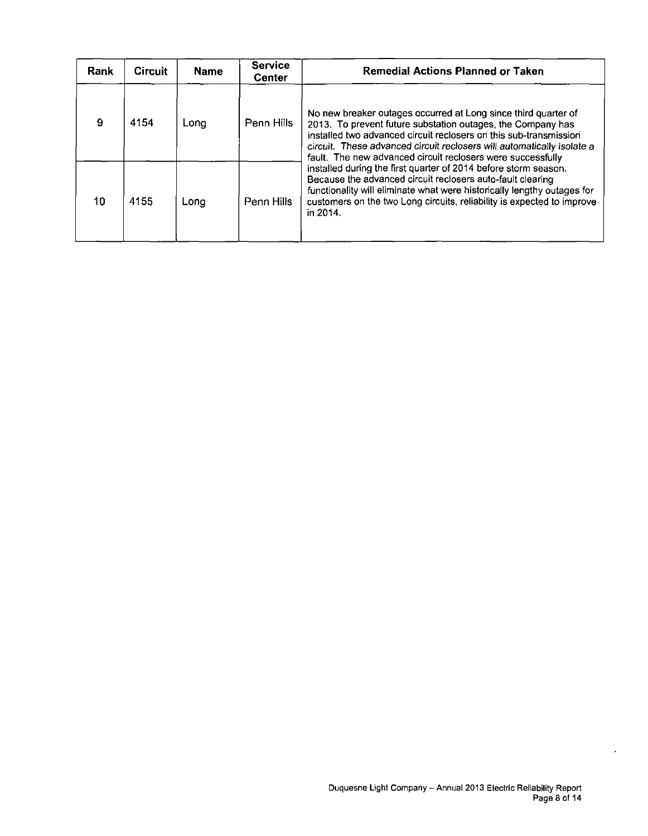| Rank | <b>Circuit</b> | <b>Name</b> | <b>Service</b><br><b>Center</b> | <b>Remedial Actions Planned or Taken</b>                                                                                                                                                                                                                                                                                                    |
|------|----------------|-------------|---------------------------------|---------------------------------------------------------------------------------------------------------------------------------------------------------------------------------------------------------------------------------------------------------------------------------------------------------------------------------------------|
| 9    | 4154           | Long        | Penn Hills                      | No new breaker outages occurred at Long since third quarter of<br>2013. To prevent future substation outages, the Company has<br>installed two advanced circuit reclosers on this sub-transmission<br>circuit. These advanced circuit reclosers will automatically isolate a<br>fault. The new advanced circuit reclosers were successfully |
| 10   | 4155           | Lona        | Penn Hills                      | installed during the first quarter of 2014 before storm season.<br>Because the advanced circuit reclosers auto-fault clearing<br>functionality will eliminate what were historically lengthy outages for<br>customers on the two Long circuits, reliability is expected to improve<br>in 2014.                                              |

 $\epsilon$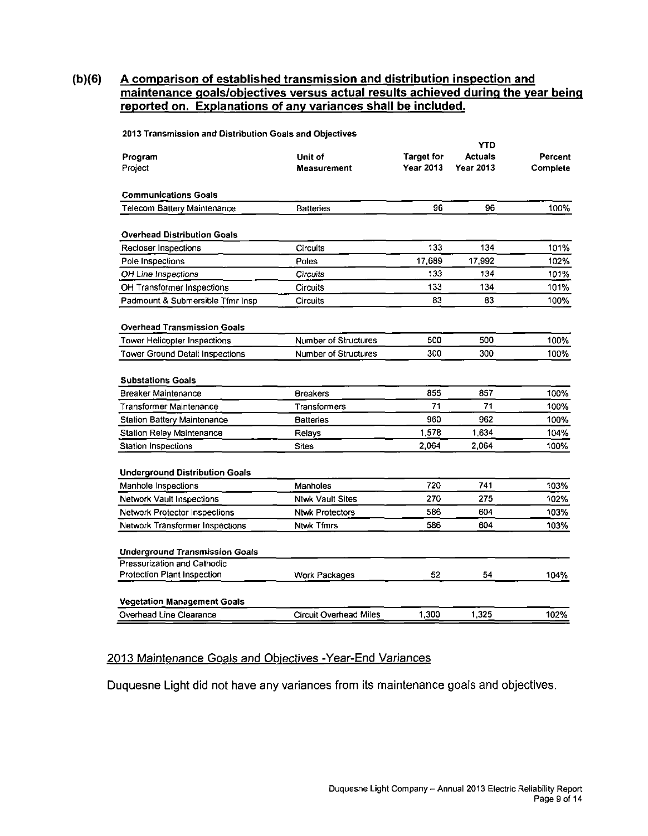#### **(b)(6) A comparison of established transmission and distribution inspection and maintenance goals/objectives versus actual results achieved during the vear beinq reported on. Explanations of any variances shall be included.**

|                                       |                               |                                | <b>YTD</b>                         |                     |
|---------------------------------------|-------------------------------|--------------------------------|------------------------------------|---------------------|
| Program<br>Project                    | Unit of<br>Measurement        | <b>Target for</b><br>Year 2013 | <b>Actuals</b><br><b>Year 2013</b> | Percent<br>Complete |
| <b>Communications Goals</b>           |                               |                                |                                    |                     |
| <b>Telecom Battery Maintenance</b>    | <b>Batteries</b>              | 96                             | 96                                 | 100%                |
| <b>Overhead Distribution Goals</b>    |                               |                                |                                    |                     |
| Recloser Inspections                  | Circuits                      | 133                            | 134                                | 101%                |
| Pole Inspections                      | Poles                         | 17.689                         | 17,992                             | 102%                |
| OH Line Inspections                   | Circuits                      | 133                            | 134                                | 101%                |
| OH Transformer Inspections            | <b>Circuits</b>               | 133                            | 134                                | 101%                |
| Padmount & Submersible Tfmr Insp      | Circuits                      | 83                             | 83                                 | 100%                |
| <b>Overhead Transmission Goals</b>    |                               |                                |                                    |                     |
| Tower Helicopter Inspections          | <b>Number of Structures</b>   | 500                            | 500                                | 100%                |
| Tower Ground Detail Inspections       | <b>Number of Structures</b>   | 300                            | 300                                | 100%                |
| <b>Substations Goals</b>              |                               |                                |                                    |                     |
| Breaker Maintenance                   | <b>Breakers</b>               | 855                            | 857                                | 100%                |
| Transformer Maintenance               | <b>Transformers</b>           | 71                             | 71                                 | 100%                |
| <b>Station Battery Maintenance</b>    | <b>Batteries</b>              | 960                            | 962                                | 100%                |
| <b>Station Relay Maintenance</b>      | <b>Relays</b>                 | 1.578                          | 1,634                              | 104%                |
| <b>Station Inspections</b>            | Sites                         | 2.064                          | 2,064                              | 100%                |
| <b>Underground Distribution Goals</b> |                               |                                |                                    |                     |
| Manhole Inspections                   | Manholes                      | 720                            | 741                                | 103%                |
| Network Vault Inspections             | <b>Ntwk Vault Sites</b>       | 270                            | 275                                | 102%                |
| Network Protector Inspections         | <b>Ntwk Protectors</b>        | 586                            | 604                                | 103%                |
| Network Transformer Inspections       | <b>Ntwk Tfmrs</b>             | 586                            | 604                                | 103%                |
| <b>Underground Transmission Goals</b> |                               |                                |                                    |                     |
| Pressurization and Cathodic           |                               |                                |                                    |                     |
| Protection Plant Inspection           | Work Packages                 | 52                             | 54                                 | 104%                |
| <b>Vegetation Management Goals</b>    |                               |                                |                                    |                     |
| Overhead Line Clearance               | <b>Circuit Overhead Miles</b> | 1.300                          | 1,325                              | 102%                |

2013 Transmission and Distribution Goals and Objectives

#### 2013 Maintenance Goals and Objectives - Year-End Variances

Duquesne Light did not have any variances from its maintenance goals and objectives.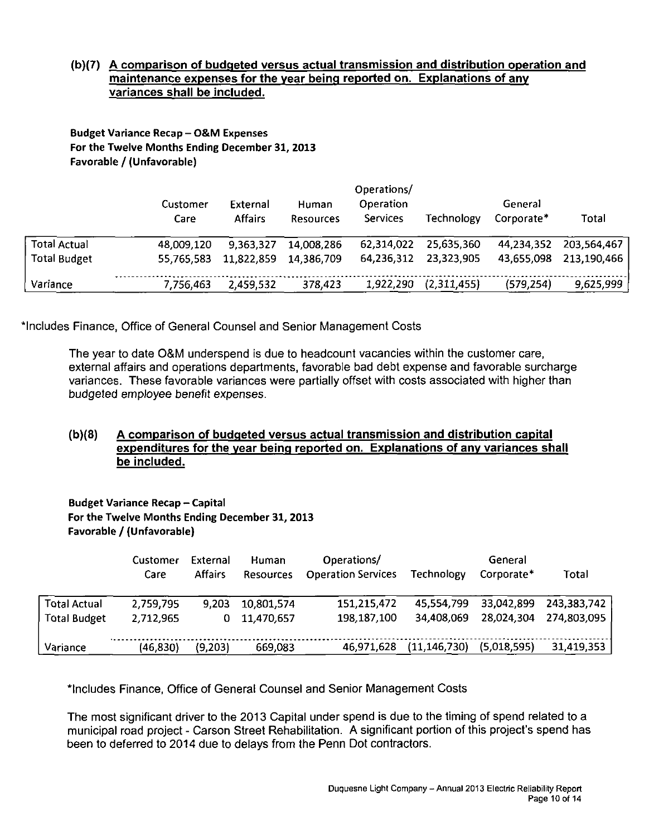#### **(b)(7) A comparison of budgeted versus actual transmission and distribution operation and maintenance expenses for the vear being reported on. Explanations of any variances shall be included.**

Budget Variance Recap - O&M Expenses **For the Twelve Months Ending December 31, 2013**  Favorable / (Unfavorable)

|                                            | Customer<br>Care         | External<br><b>Affairs</b> | Human<br><b>Resources</b> | Operations/<br><b>Operation</b><br>Services | Technology               | General<br>Corporate*    | Total                      |  |
|--------------------------------------------|--------------------------|----------------------------|---------------------------|---------------------------------------------|--------------------------|--------------------------|----------------------------|--|
| <b>Total Actual</b><br><b>Total Budget</b> | 48.009.120<br>55,765,583 | 9.363.327<br>11.822,859    | 14,008,286<br>14.386.709  | 62.314.022<br>64,236,312                    | 25,635,360<br>23,323,905 | 44.234.352<br>43 655 098 | 203.564.467<br>213,190,466 |  |
| Variance                                   | 7,756,463                | 2.459,532                  | 378,423                   | 1,922,290                                   | (2,311,455)              | (579, 254)               | 9,625,999                  |  |

'Includes Finance, Office of General Counsel and Senior Management Costs

The year to date O&M underspend is due to headcount vacancies within the customer care, external affairs and operations departments, favorable bad debt expense and favorable surcharge variances. These favorable variances were partially offset with costs associated with higher than budgeted employee benefit expenses.

#### **(b)(8) A comparison of budgeted versus actual transmission and distribution capital expenditures for the vear being reported on. Explanations of any variances shall be included.**

**Budget Variance Recap - Capital** For the Twelve Months Ending December 31, 2013 Favorable/ (Unfavorable)

|              | Customer  | External       | <b>Human</b>     | Operations/               |                   | General     |             |
|--------------|-----------|----------------|------------------|---------------------------|-------------------|-------------|-------------|
|              | Care      | <b>Affairs</b> | <b>Resources</b> | <b>Operation Services</b> | <b>Technology</b> | Corporate*  | Total       |
| Total Actual | 2,759,795 | 9,203          | 10,801,574       | 151,215,472               | 45,554,799        | 33,042,899  | 243,383,742 |
| Total Budget | 2,712,965 | 0              | 11,470,657       | 198,187,100               | 34,408,069        | 28,024,304  | 274,803,095 |
|              |           |                |                  |                           |                   |             |             |
| Variance     | (46,830)  | (9,203)        | 669,083          | 46,971,628                | (11, 146, 730)    | (5,018,595) | 31,419,353  |

"Includes Finance, Office of General Counsel and Senior Management Costs

The most significant driver to the 2013 Capital under spend is due to the timing of spend related to a municipal road project - Carson Street Rehabilitation. A significant portion of this project's spend has been to deferred to 2014 due to delays from the Penn Dot contractors.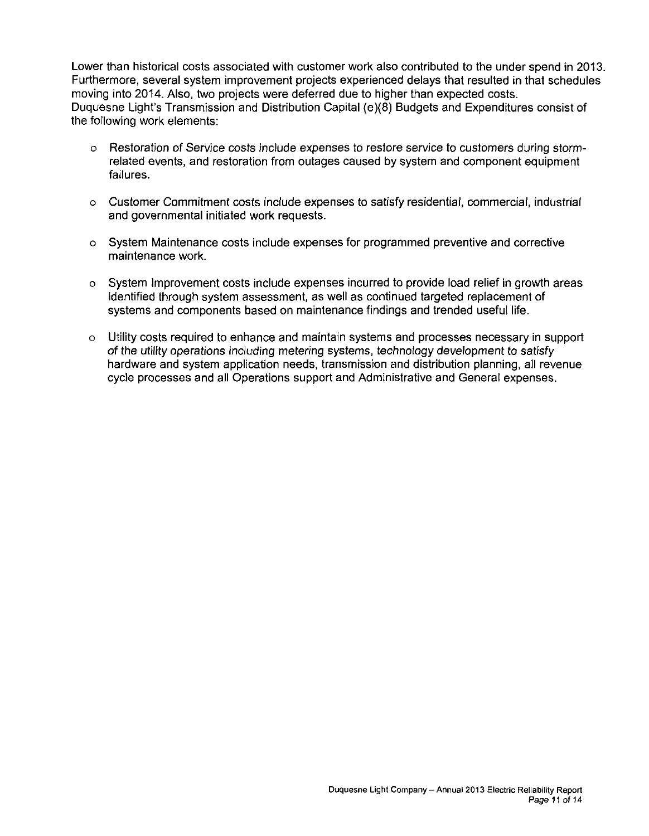Lower than historical costs associated with customer work also contributed to the under spend in 2013. Furthermore, several system improvement projects experienced delays that resulted in that schedules moving into 2014. Also, two projects were deferred due to higher than expected costs. Duquesne Light's Transmission and Distribution Capital {e)(8) Budgets and Expenditures consist of the following work elements:

- o Restoration of Service costs include expenses to restore service to customers during stormrelated events, and restoration from outages caused by system and component equipment failures.
- o Customer Commitment costs include expenses to satisfy residential, commercial, industrial and governmental initiated work requests.
- o System Maintenance costs include expenses for programmed preventive and corrective maintenance work.
- o System Improvement costs include expenses incurred to provide load relief in growth areas identified through system assessment, as well as continued targeted replacement of systems and components based on maintenance findings and trended useful life.
- o Utility costs required to enhance and maintain systems and processes necessary in support of the utility operations including metering systems, technology development to satisfy hardware and system application needs, transmission and distribution planning, all revenue cycle processes and all Operations support and Administrative and General expenses.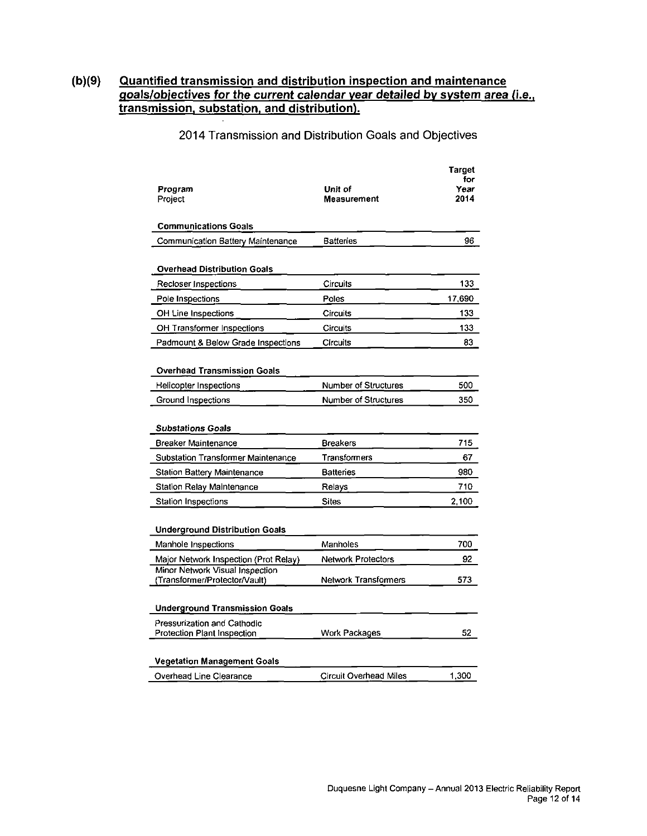#### **(b)(9) Quantified transmission and distribution inspection and maintenance goals/objectives for the current calendar vear detailed bv svstem area (i.e.. transmission, substation, and distribution).**

#### Target for Program Project Unit of Measurement Year 2014 Communications Goals Communication Battery Maintenance Batteries 196 Overhead Distribution Goals Recloser Inspections Circuits Circuits 133 Pole Inspections **Poles** Poles 17,690 OH Line Inspections **Circuits** Circuits 133 OH Transformer Inspections Circuits Circuits 133 Padmount & Below Grade Inspections Circuits 83 Overhead Transmission Goals Helicopter Inspections Number of Structures 500 Ground Inspections **Number of Structures** 350 Substations Goals Breaker Maintenance **Breakers Breakers** 715 Substation Transformer Maintenance Transformers 67 Station Battery Maintenance **Batteries Batteries** 1980 Station Relay Maintenance **Relays** Relays **710** Station Inspections Sites 2,100 Underground Distribution Goals Manhole Inspections Manholes 200 Major Network Inspection (Prot Relay) Network Protectors 202 Minor Network Visual Inspection (Transfomner/Protector/Vault) Network Transformers 573

#### 2014 Transmission and Distribution Goals and Objectives

| <b>Underground Transmission Goals</b>                      |                        |       |
|------------------------------------------------------------|------------------------|-------|
| Pressurization and Cathodic<br>Protection Plant Inspection | Work Packages          | 52    |
| <b>Vegetation Management Goals</b>                         |                        |       |
| Overhead Line Clearance                                    | Circuit Overhead Miles | 1,300 |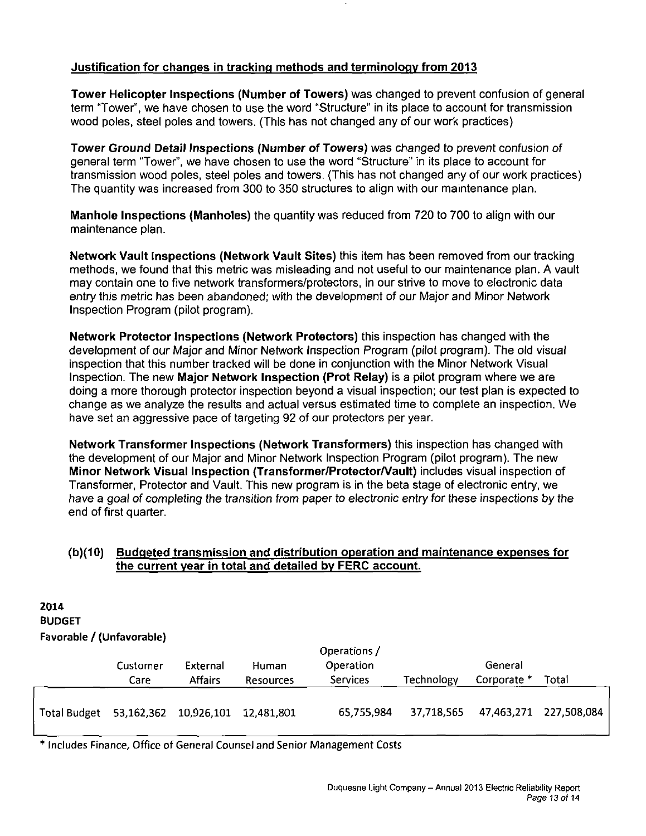#### **Justification for changes in tracking methods and terminology from 2013**

Tower Helicopter Inspections (Number of Towers) was changed to prevent confusion of general term "Tower", we have chosen to use the word "Structure" in its place to account for transmission wood poles, steel poles and towers. (This has not changed any of our work practices)

Tower Ground Detail Inspections (Number of Towers) was changed to prevent confusion of general term "Tower", we have chosen to use the word "Structure" in its place to account for transmission wood poles, steel poles and towers. (This has not changed any of our work practices) The quantity was increased from 300 to 350 structures to align with our maintenance plan.

Manhole Inspections (Manholes) the quantity was reduced from 720 to 700 to align with our maintenance plan.

Network Vault Inspections (Network Vault Sites) this item has been removed from our tracking methods, we found that this metric was misleading and not useful to our maintenance plan. A vault may contain one to five network transformers/protectors, in our strive to move to electronic data entry this metric has been abandoned; with the development of our Major and Minor Network Inspection Program (pilot program).

Network Protector Inspections (Network Protectors) this inspection has changed with the development of our Major and Minor Network Inspection Program (pilot program). The old visual inspection that this number tracked will be done in conjunction with the Minor Network Visual Inspection. The new Major Network Inspection (Prot Relay) is a pilot program where we are doing a more thorough protector inspection beyond a visual inspection; our test plan is expected to change as we analyze the results and actual versus estimated time to complete an inspection. We have set an aggressive pace of targeting 92 of our protectors per year.

Network Transformer Inspections (Network Transformers) this inspection has changed with the development of our Major and Minor Network Inspection Program (pilot program). The new Minor Network Visual Inspection (Transformer/Protector/Vault) includes visual inspection of Transformer, Protector and Vault. This new program is in the beta stage of electronic entry, we have a goal of completing the transition from paper to electronic entry for these inspections by the end of first quarter.

#### **(b){10) Budgeted transmission and distribution operation and maintenance expenses for the current vear in total and detailed bv FERC account.**

| 2014<br><b>BUDGET</b><br>Favorable / (Unfavorable) |                  |                            |                           |                                              |                   |                        |             |
|----------------------------------------------------|------------------|----------------------------|---------------------------|----------------------------------------------|-------------------|------------------------|-------------|
|                                                    | Customer<br>Care | External<br><b>Affairs</b> | Human<br><b>Resources</b> | Operations /<br>Operation<br><b>Services</b> | <b>Technology</b> | General<br>Corporate * | Total       |
| <b>Total Budget</b>                                | 53,162,362       | 10,926,101                 | 12,481,801                | 65,755,984                                   | 37,718,565        | 47,463,271             | 227,508,084 |

\* Includes Finance, Office of General Counsel and Senior Management Costs